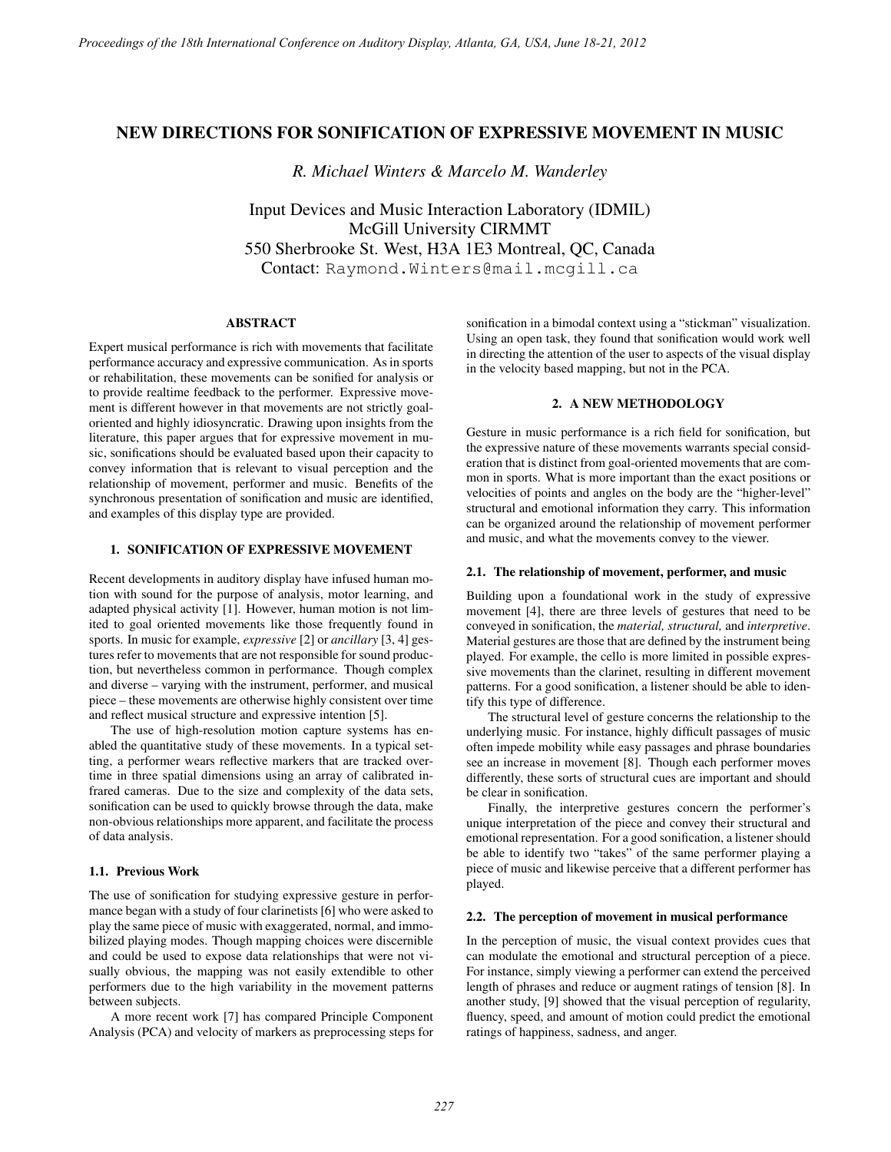# NEW DIRECTIONS FOR SONIFICATION OF EXPRESSIVE MOVEMENT IN MUSIC

*R. Michael Winters & Marcelo M. Wanderley*

Input Devices and Music Interaction Laboratory (IDMIL) McGill University CIRMMT 550 Sherbrooke St. West, H3A 1E3 Montreal, QC, Canada Contact: Raymond.Winters@mail.mcgill.ca

## ABSTRACT

Expert musical performance is rich with movements that facilitate performance accuracy and expressive communication. As in sports or rehabilitation, these movements can be sonified for analysis or to provide realtime feedback to the performer. Expressive movement is different however in that movements are not strictly goaloriented and highly idiosyncratic. Drawing upon insights from the literature, this paper argues that for expressive movement in music, sonifications should be evaluated based upon their capacity to convey information that is relevant to visual perception and the relationship of movement, performer and music. Benefits of the synchronous presentation of sonification and music are identified, and examples of this display type are provided.

## 1. SONIFICATION OF EXPRESSIVE MOVEMENT

Recent developments in auditory display have infused human motion with sound for the purpose of analysis, motor learning, and adapted physical activity [1]. However, human motion is not limited to goal oriented movements like those frequently found in sports. In music for example, *expressive* [2] or *ancillary* [3, 4] gestures refer to movements that are not responsible for sound production, but nevertheless common in performance. Though complex and diverse – varying with the instrument, performer, and musical piece – these movements are otherwise highly consistent over time and reflect musical structure and expressive intention [5].

The use of high-resolution motion capture systems has enabled the quantitative study of these movements. In a typical setting, a performer wears reflective markers that are tracked overtime in three spatial dimensions using an array of calibrated infrared cameras. Due to the size and complexity of the data sets, sonification can be used to quickly browse through the data, make non-obvious relationships more apparent, and facilitate the process of data analysis.

## 1.1. Previous Work

The use of sonification for studying expressive gesture in performance began with a study of four clarinetists [6] who were asked to play the same piece of music with exaggerated, normal, and immobilized playing modes. Though mapping choices were discernible and could be used to expose data relationships that were not visually obvious, the mapping was not easily extendible to other performers due to the high variability in the movement patterns between subjects.

A more recent work [7] has compared Principle Component Analysis (PCA) and velocity of markers as preprocessing steps for sonification in a bimodal context using a "stickman" visualization. Using an open task, they found that sonification would work well in directing the attention of the user to aspects of the visual display in the velocity based mapping, but not in the PCA.

## 2. A NEW METHODOLOGY

Gesture in music performance is a rich field for sonification, but the expressive nature of these movements warrants special consideration that is distinct from goal-oriented movements that are common in sports. What is more important than the exact positions or velocities of points and angles on the body are the "higher-level" structural and emotional information they carry. This information can be organized around the relationship of movement performer and music, and what the movements convey to the viewer.

### 2.1. The relationship of movement, performer, and music

Building upon a foundational work in the study of expressive movement [4], there are three levels of gestures that need to be conveyed in sonification, the *material, structural,* and *interpretive*. Material gestures are those that are defined by the instrument being played. For example, the cello is more limited in possible expressive movements than the clarinet, resulting in different movement patterns. For a good sonification, a listener should be able to identify this type of difference.

The structural level of gesture concerns the relationship to the underlying music. For instance, highly difficult passages of music often impede mobility while easy passages and phrase boundaries see an increase in movement [8]. Though each performer moves differently, these sorts of structural cues are important and should be clear in sonification.

Finally, the interpretive gestures concern the performer's unique interpretation of the piece and convey their structural and emotional representation. For a good sonification, a listener should be able to identify two "takes" of the same performer playing a piece of music and likewise perceive that a different performer has played.

#### 2.2. The perception of movement in musical performance

In the perception of music, the visual context provides cues that can modulate the emotional and structural perception of a piece. For instance, simply viewing a performer can extend the perceived length of phrases and reduce or augment ratings of tension [8]. In another study, [9] showed that the visual perception of regularity, fluency, speed, and amount of motion could predict the emotional ratings of happiness, sadness, and anger.